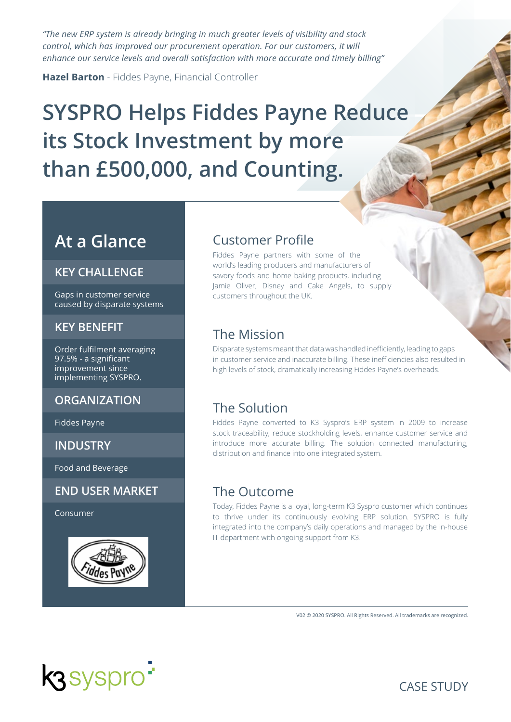*"The new ERP system is already bringing in much greater levels of visibility and stock control, which has improved our procurement operation. For our customers, it will enhance our service levels and overall satisfaction with more accurate and timely billing"* 

**Hazel Barton** - Fiddes Payne, Financial Controller

# **SYSPRO Helps Fiddes Payne Reduce its Stock Investment by more than £500,000, and Counting.**

## **At a Glance**

#### **KEY CHALLENGE**

Gaps in customer service caused by disparate systems

#### **KEY BENEFIT**

Order fulfilment averaging 97.5% - a significant improvement since implementing SYSPRO.

#### **ORGANIZATION**

Fiddes Payne

**INDUSTRY**

Food and Beverage

#### **END USER MARKET**

Consumer



#### Customer Profile

Fiddes Payne partners with some of the world's leading producers and manufacturers of savory foods and home baking products, including Jamie Oliver, Disney and Cake Angels, to supply customers throughout the UK.

## The Mission

Disparate systems meant that data was handled inefficiently, leading to gaps in customer service and inaccurate billing. These inefficiencies also resulted in high levels of stock, dramatically increasing Fiddes Payne's overheads.

## The Solution

Fiddes Payne converted to K3 Syspro's ERP system in 2009 to increase stock traceability, reduce stockholding levels, enhance customer service and introduce more accurate billing. The solution connected manufacturing, distribution and finance into one integrated system.

#### The Outcome

Today, Fiddes Payne is a loyal, long-term K3 Syspro customer which continues to thrive under its continuously evolving ERP solution. SYSPRO is fully integrated into the company's daily operations and managed by the in-house IT department with ongoing support from K3.

V02 © 2020 SYSPRO. All Rights Reserved. All trademarks are recognized.



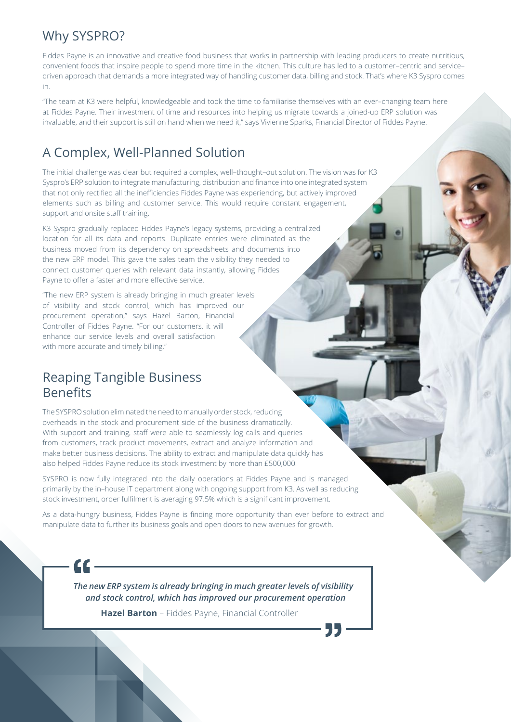### Why SYSPRO?

Fiddes Payne is an innovative and creative food business that works in partnership with leading producers to create nutritious, convenient foods that inspire people to spend more time in the kitchen. This culture has led to a customer–centric and service– driven approach that demands a more integrated way of handling customer data, billing and stock. That's where K3 Syspro comes in.

"The team at K3 were helpful, knowledgeable and took the time to familiarise themselves with an ever–changing team here at Fiddes Payne. Their investment of time and resources into helping us migrate towards a joined-up ERP solution was invaluable, and their support is still on hand when we need it," says Vivienne Sparks, Financial Director of Fiddes Payne.

## A Complex, Well-Planned Solution

The initial challenge was clear but required a complex, well–thought–out solution. The vision was for K3 Syspro's ERP solution to integrate manufacturing, distribution and finance into one integrated system that not only rectified all the inefficiencies Fiddes Payne was experiencing, but actively improved elements such as billing and customer service. This would require constant engagement, support and onsite staff training.

K3 Syspro gradually replaced Fiddes Payne's legacy systems, providing a centralized location for all its data and reports. Duplicate entries were eliminated as the business moved from its dependency on spreadsheets and documents into the new ERP model. This gave the sales team the visibility they needed to connect customer queries with relevant data instantly, allowing Fiddes Payne to offer a faster and more effective service.

"The new ERP system is already bringing in much greater levels of visibility and stock control, which has improved our procurement operation," says Hazel Barton, Financial Controller of Fiddes Payne. "For our customers, it will enhance our service levels and overall satisfaction with more accurate and timely billing."

## Reaping Tangible Business Benefits

The SYSPRO solution eliminated the need to manually order stock, reducing overheads in the stock and procurement side of the business dramatically. With support and training, staff were able to seamlessly log calls and queries from customers, track product movements, extract and analyze information and make better business decisions. The ability to extract and manipulate data quickly has also helped Fiddes Payne reduce its stock investment by more than £500,000.

SYSPRO is now fully integrated into the daily operations at Fiddes Payne and is managed primarily by the in–house IT department along with ongoing support from K3. As well as reducing stock investment, order fulfilment is averaging 97.5% which is a significant improvement.

As a data-hungry business, Fiddes Payne is finding more opportunity than ever before to extract and manipulate data to further its business goals and open doors to new avenues for growth.

 $\epsilon$ 

*The new ERP system is already bringing in much greater levels of visibility and stock control, which has improved our procurement operation* **Hazel Barton** – Fiddes Payne, Financial Controller